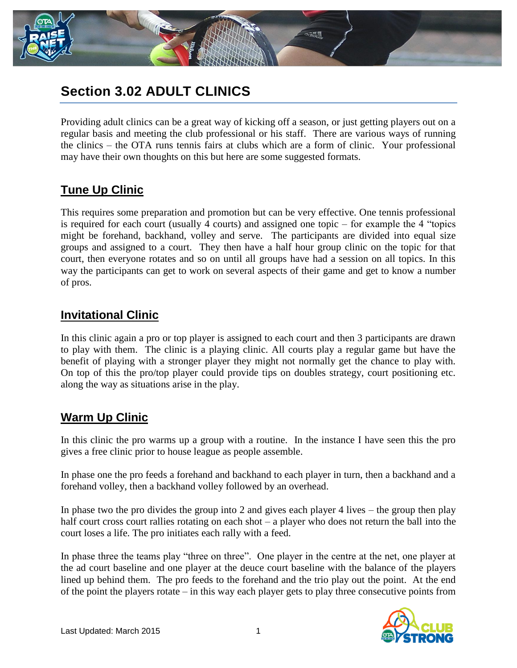

# **Section 3.02 ADULT CLINICS**

Providing adult clinics can be a great way of kicking off a season, or just getting players out on a regular basis and meeting the club professional or his staff. There are various ways of running the clinics – the OTA runs tennis fairs at clubs which are a form of clinic. Your professional may have their own thoughts on this but here are some suggested formats.

## **Tune Up Clinic**

This requires some preparation and promotion but can be very effective. One tennis professional is required for each court (usually 4 courts) and assigned one topic – for example the 4 "topics might be forehand, backhand, volley and serve. The participants are divided into equal size groups and assigned to a court. They then have a half hour group clinic on the topic for that court, then everyone rotates and so on until all groups have had a session on all topics. In this way the participants can get to work on several aspects of their game and get to know a number of pros.

#### **Invitational Clinic**

In this clinic again a pro or top player is assigned to each court and then 3 participants are drawn to play with them. The clinic is a playing clinic. All courts play a regular game but have the benefit of playing with a stronger player they might not normally get the chance to play with. On top of this the pro/top player could provide tips on doubles strategy, court positioning etc. along the way as situations arise in the play.

### **Warm Up Clinic**

In this clinic the pro warms up a group with a routine. In the instance I have seen this the pro gives a free clinic prior to house league as people assemble.

In phase one the pro feeds a forehand and backhand to each player in turn, then a backhand and a forehand volley, then a backhand volley followed by an overhead.

In phase two the pro divides the group into 2 and gives each player 4 lives – the group then play half court cross court rallies rotating on each shot – a player who does not return the ball into the court loses a life. The pro initiates each rally with a feed.

In phase three the teams play "three on three". One player in the centre at the net, one player at the ad court baseline and one player at the deuce court baseline with the balance of the players lined up behind them. The pro feeds to the forehand and the trio play out the point. At the end of the point the players rotate – in this way each player gets to play three consecutive points from